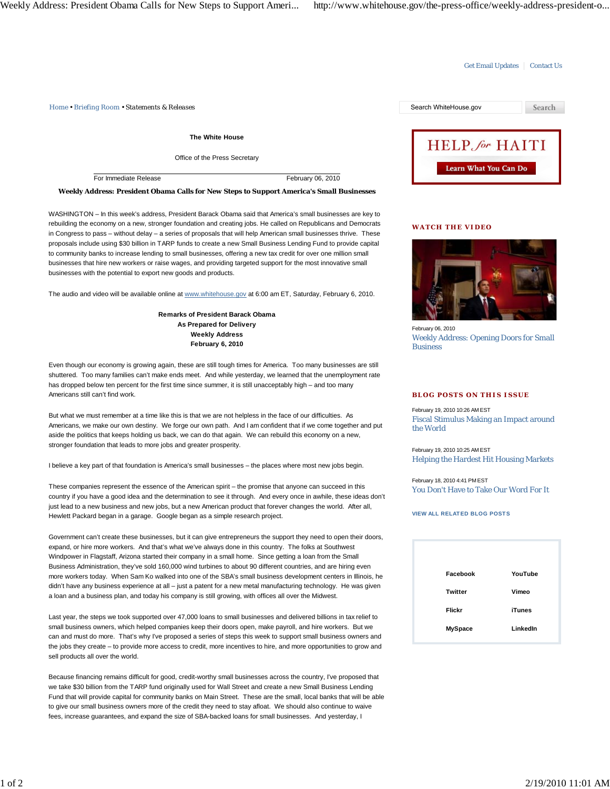# Get Email Updates | Contact Us

*Home • Briefing Room • Statements & Releases* Search WhiteHouse.gov

**The White House**

Office of the Press Secretary

For Immediate Release February 06, 2010

### **Weekly Address: President Obama Calls for New Steps to Support America's Small Businesses**

WASHINGTON – In this week's address, President Barack Obama said that America's small businesses are key to rebuilding the economy on a new, stronger foundation and creating jobs. He called on Republicans and Democrats in Congress to pass – without delay – a series of proposals that will help American small businesses thrive. These proposals include using \$30 billion in TARP funds to create a new Small Business Lending Fund to provide capital to community banks to increase lending to small businesses, offering a new tax credit for over one million small businesses that hire new workers or raise wages, and providing targeted support for the most innovative small businesses with the potential to export new goods and products.

The audio and video will be available online at www.whitehouse.gov at 6:00 am ET, Saturday, February 6, 2010.

**Remarks of President Barack Obama As Prepared for Delivery Weekly Address February 6, 2010**

Even though our economy is growing again, these are still tough times for America. Too many businesses are still shuttered. Too many families can't make ends meet. And while yesterday, we learned that the unemployment rate has dropped below ten percent for the first time since summer, it is still unacceptably high – and too many Americans still can't find work.

But what we must remember at a time like this is that we are not helpless in the face of our difficulties. As Americans, we make our own destiny. We forge our own path. And I am confident that if we come together and put aside the politics that keeps holding us back, we can do that again. We can rebuild this economy on a new, stronger foundation that leads to more jobs and greater prosperity.

I believe a key part of that foundation is America's small businesses – the places where most new jobs begin.

These companies represent the essence of the American spirit – the promise that anyone can succeed in this country if you have a good idea and the determination to see it through. And every once in awhile, these ideas don't just lead to a new business and new jobs, but a new American product that forever changes the world. After all, Hewlett Packard began in a garage. Google began as a simple research project.

Government can't create these businesses, but it can give entrepreneurs the support they need to open their doors, expand, or hire more workers. And that's what we've always done in this country. The folks at Southwest Windpower in Flagstaff, Arizona started their company in a small home. Since getting a loan from the Small Business Administration, they've sold 160,000 wind turbines to about 90 different countries, and are hiring even more workers today. When Sam Ko walked into one of the SBA's small business development centers in Illinois, he didn't have any business experience at all – just a patent for a new metal manufacturing technology. He was given a loan and a business plan, and today his company is still growing, with offices all over the Midwest.

Last year, the steps we took supported over 47,000 loans to small businesses and delivered billions in tax relief to small business owners, which helped companies keep their doors open, make payroll, and hire workers. But we can and must do more. That's why I've proposed a series of steps this week to support small business owners and the jobs they create – to provide more access to credit, more incentives to hire, and more opportunities to grow and sell products all over the world.

Because financing remains difficult for good, credit-worthy small businesses across the country, I've proposed that we take \$30 billion from the TARP fund originally used for Wall Street and create a new Small Business Lending Fund that will provide capital for community banks on Main Street. These are the small, local banks that will be able to give our small business owners more of the credit they need to stay afloat. We should also continue to waive fees, increase guarantees, and expand the size of SBA-backed loans for small businesses. And yesterday, I



### **WATCH THE VIDEO**



February 06, 2010 Weekly Address: Opening Doors for Small **Business** 

### **BLOG POSTS ON THIS ISSUE**

February 19, 2010 10:26 AM EST Fiscal Stimulus Making an Impact around the World

February 19, 2010 10:25 AM EST Helping the Hardest Hit Housing Markets

February 18, 2010 4:41 PM EST You Don't Have to Take Our Word For It

# **VIEW ALL RELATED BLOG POSTS**

| Facebook       | YouTube       |
|----------------|---------------|
| Twitter        | Vimeo         |
| Flickr         | <b>iTunes</b> |
| <b>MySpace</b> | LinkedIn      |
|                |               |